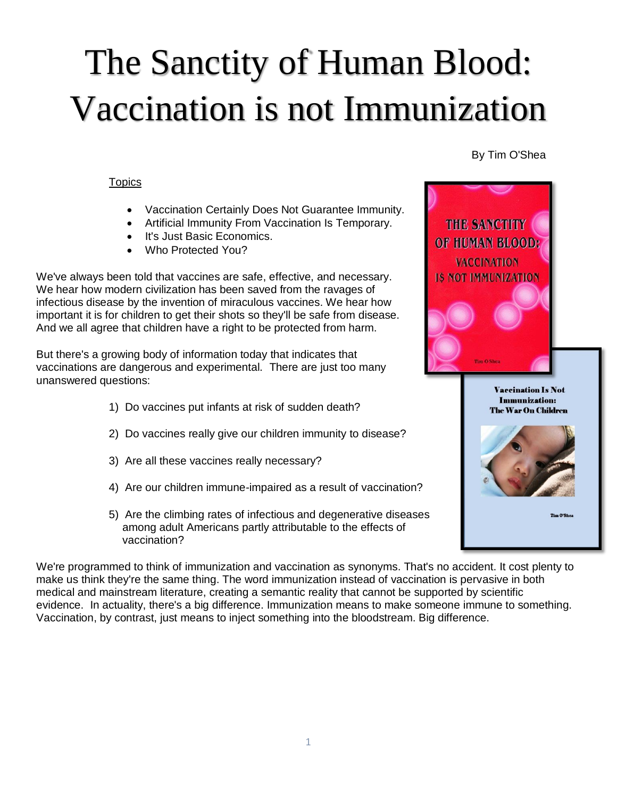# The Sanctity of Human Blood: Vaccination is not Immunization

By Tim O'Shea

**Topics** 

- Vaccination Certainly Does Not Guarantee Immunity.
- Artificial Immunity From Vaccination Is Temporary.
- It's Just Basic Economics.
- Who Protected You?

We've always been told that vaccines are safe, effective, and necessary. We hear how modern civilization has been saved from the ravages of infectious disease by the invention of miraculous vaccines. We hear how important it is for children to get their shots so they'll be safe from disease. And we all agree that children have a right to be protected from harm.

But there's a growing body of information today that indicates that vaccinations are dangerous and experimental. There are just too many unanswered questions:

- 1) Do vaccines put infants at risk of sudden death?
- 2) Do vaccines really give our children immunity to disease?
- 3) Are all these vaccines really necessary?
- 4) Are our children immune-impaired as a result of vaccination?
- 5) Are the climbing rates of infectious and degenerative diseases among adult Americans partly attributable to the effects of vaccination?

We're programmed to think of immunization and vaccination as synonyms. That's no accident. It cost plenty to make us think they're the same thing. The word immunization instead of vaccination is pervasive in both medical and mainstream literature, creating a semantic reality that cannot be supported by scientific evidence. In actuality, there's a big difference. Immunization means to make someone immune to something. Vaccination, by contrast, just means to inject something into the bloodstream. Big difference.

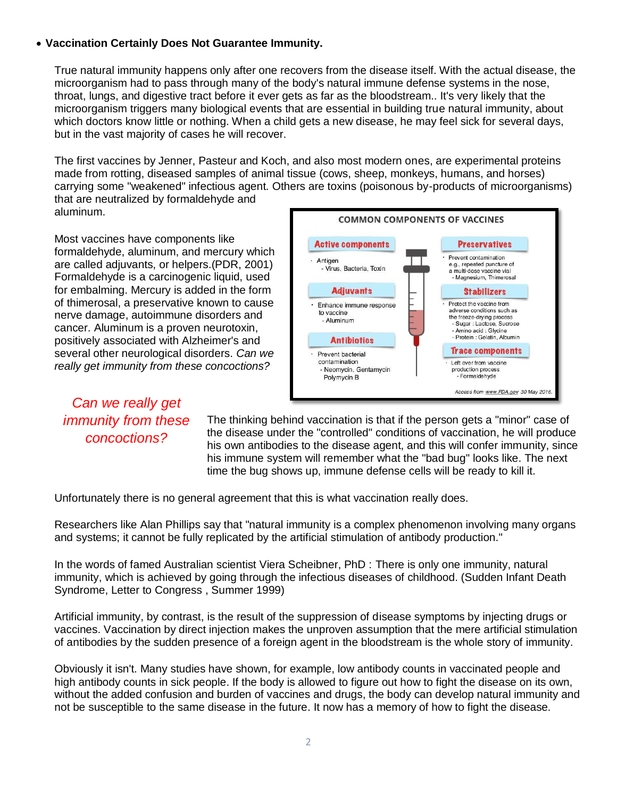### **Vaccination Certainly Does Not Guarantee Immunity.**

True natural immunity happens only after one recovers from the disease itself. With the actual disease, the microorganism had to pass through many of the body's natural immune defense systems in the nose, throat, lungs, and digestive tract before it ever gets as far as the bloodstream.. It's very likely that the microorganism triggers many biological events that are essential in building true natural immunity, about which doctors know little or nothing. When a child gets a new disease, he may feel sick for several days, but in the vast majority of cases he will recover.

The first vaccines by Jenner, Pasteur and Koch, and also most modern ones, are experimental proteins made from rotting, diseased samples of animal tissue (cows, sheep, monkeys, humans, and horses) carrying some "weakened" infectious agent. Others are toxins (poisonous by-products of microorganisms) that are neutralized by formaldehyde and aluminum.

Most vaccines have components like formaldehyde, aluminum, and mercury which are called adjuvants, or helpers.(PDR, 2001) Formaldehyde is a carcinogenic liquid, used for embalming. Mercury is added in the form of thimerosal, a preservative known to cause nerve damage, autoimmune disorders and cancer. Aluminum is a proven neurotoxin, positively associated with Alzheimer's and several other neurological disorders. *Can we really get immunity from these concoctions?*

*Can we really get immunity from these concoctions?*



The thinking behind vaccination is that if the person gets a "minor" case of the disease under the "controlled" conditions of vaccination, he will produce his own antibodies to the disease agent, and this will confer immunity, since his immune system will remember what the "bad bug" looks like. The next time the bug shows up, immune defense cells will be ready to kill it.

Unfortunately there is no general agreement that this is what vaccination really does.

Researchers like Alan Phillips say that "natural immunity is a complex phenomenon involving many organs and systems; it cannot be fully replicated by the artificial stimulation of antibody production."

In the words of famed Australian scientist Viera Scheibner, PhD : There is only one immunity, natural immunity, which is achieved by going through the infectious diseases of childhood. (Sudden Infant Death Syndrome, Letter to Congress , Summer 1999)

Artificial immunity, by contrast, is the result of the suppression of disease symptoms by injecting drugs or vaccines. Vaccination by direct injection makes the unproven assumption that the mere artificial stimulation of antibodies by the sudden presence of a foreign agent in the bloodstream is the whole story of immunity.

Obviously it isn't. Many studies have shown, for example, low antibody counts in vaccinated people and high antibody counts in sick people. If the body is allowed to figure out how to fight the disease on its own, without the added confusion and burden of vaccines and drugs, the body can develop natural immunity and not be susceptible to the same disease in the future. It now has a memory of how to fight the disease.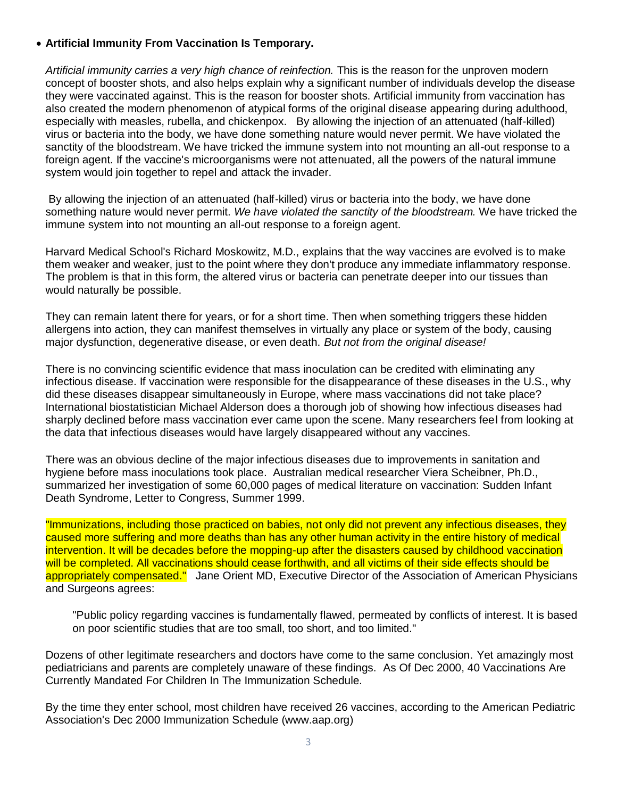### **Artificial Immunity From Vaccination Is Temporary.**

*Artificial immunity carries a very high chance of reinfection.* This is the reason for the unproven modern concept of booster shots, and also helps explain why a significant number of individuals develop the disease they were vaccinated against. This is the reason for booster shots. Artificial immunity from vaccination has also created the modern phenomenon of atypical forms of the original disease appearing during adulthood, especially with measles, rubella, and chickenpox. By allowing the injection of an attenuated (half-killed) virus or bacteria into the body, we have done something nature would never permit. We have violated the sanctity of the bloodstream. We have tricked the immune system into not mounting an all-out response to a foreign agent. If the vaccine's microorganisms were not attenuated, all the powers of the natural immune system would join together to repel and attack the invader.

By allowing the injection of an attenuated (half-killed) virus or bacteria into the body, we have done something nature would never permit. *We have violated the sanctity of the bloodstream.* We have tricked the immune system into not mounting an all-out response to a foreign agent.

Harvard Medical School's Richard Moskowitz, M.D., explains that the way vaccines are evolved is to make them weaker and weaker, just to the point where they don't produce any immediate inflammatory response. The problem is that in this form, the altered virus or bacteria can penetrate deeper into our tissues than would naturally be possible.

They can remain latent there for years, or for a short time. Then when something triggers these hidden allergens into action, they can manifest themselves in virtually any place or system of the body, causing major dysfunction, degenerative disease, or even death. *But not from the original disease!*

There is no convincing scientific evidence that mass inoculation can be credited with eliminating any infectious disease. If vaccination were responsible for the disappearance of these diseases in the U.S., why did these diseases disappear simultaneously in Europe, where mass vaccinations did not take place? International biostatistician Michael Alderson does a thorough job of showing how infectious diseases had sharply declined before mass vaccination ever came upon the scene. Many researchers feel from looking at the data that infectious diseases would have largely disappeared without any vaccines.

There was an obvious decline of the major infectious diseases due to improvements in sanitation and hygiene before mass inoculations took place. Australian medical researcher Viera Scheibner, Ph.D., summarized her investigation of some 60,000 pages of medical literature on vaccination: Sudden Infant Death Syndrome, Letter to Congress, Summer 1999.

"Immunizations, including those practiced on babies, not only did not prevent any infectious diseases, they caused more suffering and more deaths than has any other human activity in the entire history of medical intervention. It will be decades before the mopping-up after the disasters caused by childhood vaccination will be completed. All vaccinations should cease forthwith, and all victims of their side effects should be appropriately compensated." Jane Orient MD, Executive Director of the Association of American Physicians and Surgeons agrees:

"Public policy regarding vaccines is fundamentally flawed, permeated by conflicts of interest. It is based on poor scientific studies that are too small, too short, and too limited."

Dozens of other legitimate researchers and doctors have come to the same conclusion. Yet amazingly most pediatricians and parents are completely unaware of these findings. As Of Dec 2000, 40 Vaccinations Are Currently Mandated For Children In The Immunization Schedule.

By the time they enter school, most children have received 26 vaccines, according to the American Pediatric Association's Dec 2000 Immunization Schedule (www.aap.org)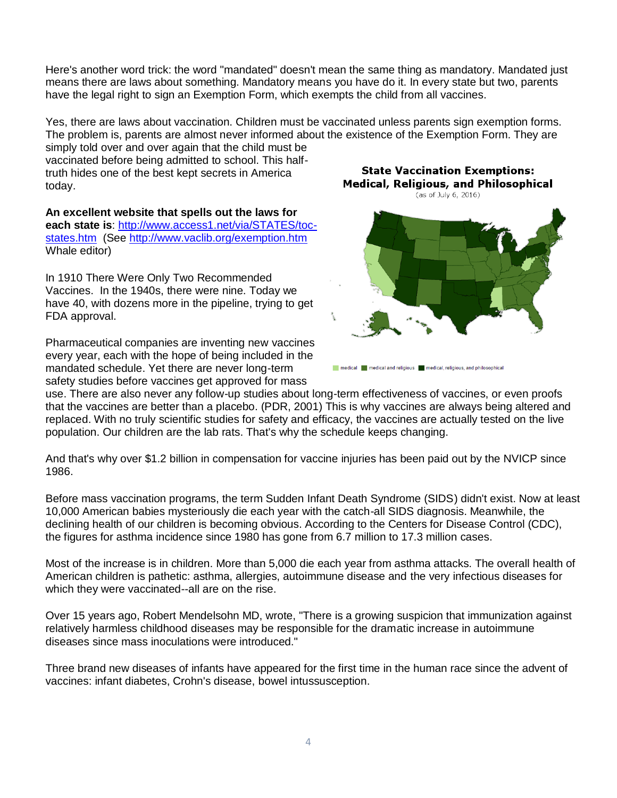Here's another word trick: the word "mandated" doesn't mean the same thing as mandatory. Mandated just means there are laws about something. Mandatory means you have do it. In every state but two, parents have the legal right to sign an Exemption Form, which exempts the child from all vaccines.

Yes, there are laws about vaccination. Children must be vaccinated unless parents sign exemption forms. The problem is, parents are almost never informed about the existence of the Exemption Form. They are simply told over and over again that the child must be

vaccinated before being admitted to school. This halftruth hides one of the best kept secrets in America today.

**An excellent website that spells out the laws for each state is**: [http://www.access1.net/via/STATES/toc](http://www.access1.net/via/STATES/toc-states.htm)[states.htm](http://www.access1.net/via/STATES/toc-states.htm) (See<http://www.vaclib.org/exemption.htm> Whale editor)

In 1910 There Were Only Two Recommended Vaccines. In the 1940s, there were nine. Today we have 40, with dozens more in the pipeline, trying to get FDA approval.

Pharmaceutical companies are inventing new vaccines every year, each with the hope of being included in the mandated schedule. Yet there are never long-term safety studies before vaccines get approved for mass

**State Vaccination Exemptions: Medical, Religious, and Philosophical** (as of July 6, 2016)



medical medical and religious medical, religious, and philosophical

use. There are also never any follow-up studies about long-term effectiveness of vaccines, or even proofs that the vaccines are better than a placebo. (PDR, 2001) This is why vaccines are always being altered and replaced. With no truly scientific studies for safety and efficacy, the vaccines are actually tested on the live population. Our children are the lab rats. That's why the schedule keeps changing.

And that's why over \$1.2 billion in compensation for vaccine injuries has been paid out by the NVICP since 1986.

Before mass vaccination programs, the term Sudden Infant Death Syndrome (SIDS) didn't exist. Now at least 10,000 American babies mysteriously die each year with the catch-all SIDS diagnosis. Meanwhile, the declining health of our children is becoming obvious. According to the Centers for Disease Control (CDC), the figures for asthma incidence since 1980 has gone from 6.7 million to 17.3 million cases.

Most of the increase is in children. More than 5,000 die each year from asthma attacks. The overall health of American children is pathetic: asthma, allergies, autoimmune disease and the very infectious diseases for which they were vaccinated--all are on the rise.

Over 15 years ago, Robert Mendelsohn MD, wrote, "There is a growing suspicion that immunization against relatively harmless childhood diseases may be responsible for the dramatic increase in autoimmune diseases since mass inoculations were introduced."

Three brand new diseases of infants have appeared for the first time in the human race since the advent of vaccines: infant diabetes, Crohn's disease, bowel intussusception.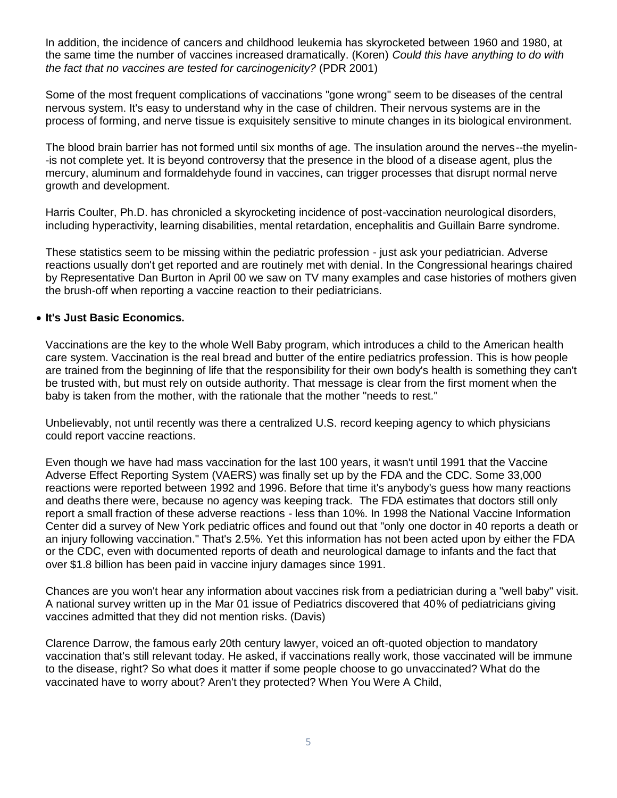In addition, the incidence of cancers and childhood leukemia has skyrocketed between 1960 and 1980, at the same time the number of vaccines increased dramatically. (Koren) *Could this have anything to do with the fact that no vaccines are tested for carcinogenicity?* (PDR 2001)

Some of the most frequent complications of vaccinations "gone wrong" seem to be diseases of the central nervous system. It's easy to understand why in the case of children. Their nervous systems are in the process of forming, and nerve tissue is exquisitely sensitive to minute changes in its biological environment.

The blood brain barrier has not formed until six months of age. The insulation around the nerves--the myelin- -is not complete yet. It is beyond controversy that the presence in the blood of a disease agent, plus the mercury, aluminum and formaldehyde found in vaccines, can trigger processes that disrupt normal nerve growth and development.

Harris Coulter, Ph.D. has chronicled a skyrocketing incidence of post-vaccination neurological disorders, including hyperactivity, learning disabilities, mental retardation, encephalitis and Guillain Barre syndrome.

These statistics seem to be missing within the pediatric profession - just ask your pediatrician. Adverse reactions usually don't get reported and are routinely met with denial. In the Congressional hearings chaired by Representative Dan Burton in April 00 we saw on TV many examples and case histories of mothers given the brush-off when reporting a vaccine reaction to their pediatricians.

### **It's Just Basic Economics.**

Vaccinations are the key to the whole Well Baby program, which introduces a child to the American health care system. Vaccination is the real bread and butter of the entire pediatrics profession. This is how people are trained from the beginning of life that the responsibility for their own body's health is something they can't be trusted with, but must rely on outside authority. That message is clear from the first moment when the baby is taken from the mother, with the rationale that the mother "needs to rest."

Unbelievably, not until recently was there a centralized U.S. record keeping agency to which physicians could report vaccine reactions.

Even though we have had mass vaccination for the last 100 years, it wasn't until 1991 that the Vaccine Adverse Effect Reporting System (VAERS) was finally set up by the FDA and the CDC. Some 33,000 reactions were reported between 1992 and 1996. Before that time it's anybody's guess how many reactions and deaths there were, because no agency was keeping track. The FDA estimates that doctors still only report a small fraction of these adverse reactions - less than 10%. In 1998 the National Vaccine Information Center did a survey of New York pediatric offices and found out that "only one doctor in 40 reports a death or an injury following vaccination." That's 2.5%. Yet this information has not been acted upon by either the FDA or the CDC, even with documented reports of death and neurological damage to infants and the fact that over \$1.8 billion has been paid in vaccine injury damages since 1991.

Chances are you won't hear any information about vaccines risk from a pediatrician during a "well baby" visit. A national survey written up in the Mar 01 issue of Pediatrics discovered that 40% of pediatricians giving vaccines admitted that they did not mention risks. (Davis)

Clarence Darrow, the famous early 20th century lawyer, voiced an oft-quoted objection to mandatory vaccination that's still relevant today. He asked, if vaccinations really work, those vaccinated will be immune to the disease, right? So what does it matter if some people choose to go unvaccinated? What do the vaccinated have to worry about? Aren't they protected? When You Were A Child,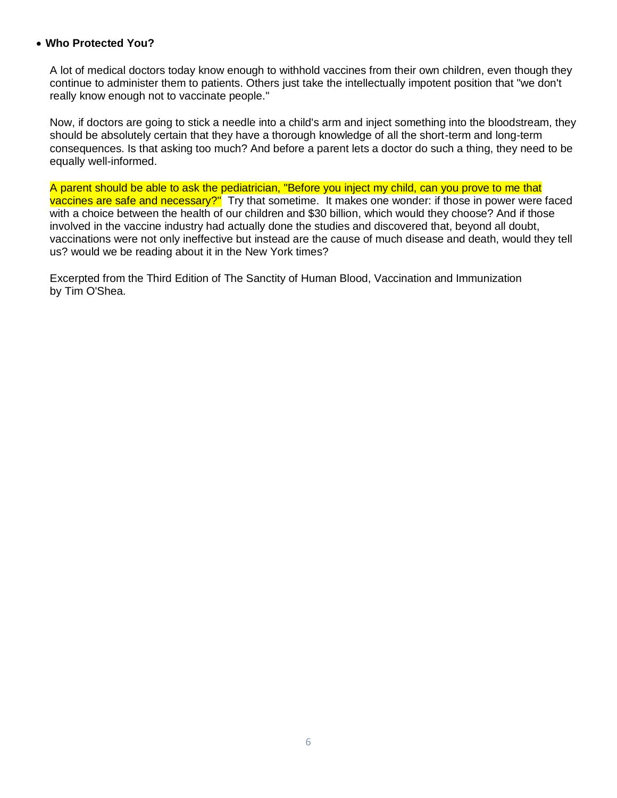#### **Who Protected You?**

A lot of medical doctors today know enough to withhold vaccines from their own children, even though they continue to administer them to patients. Others just take the intellectually impotent position that "we don't really know enough not to vaccinate people."

Now, if doctors are going to stick a needle into a child's arm and inject something into the bloodstream, they should be absolutely certain that they have a thorough knowledge of all the short-term and long-term consequences. Is that asking too much? And before a parent lets a doctor do such a thing, they need to be equally well-informed.

A parent should be able to ask the pediatrician, "Before you inject my child, can you prove to me that vaccines are safe and necessary?" Try that sometime. It makes one wonder: if those in power were faced with a choice between the health of our children and \$30 billion, which would they choose? And if those involved in the vaccine industry had actually done the studies and discovered that, beyond all doubt, vaccinations were not only ineffective but instead are the cause of much disease and death, would they tell us? would we be reading about it in the New York times?

Excerpted from the Third Edition of The Sanctity of Human Blood, Vaccination and Immunization by Tim O'Shea.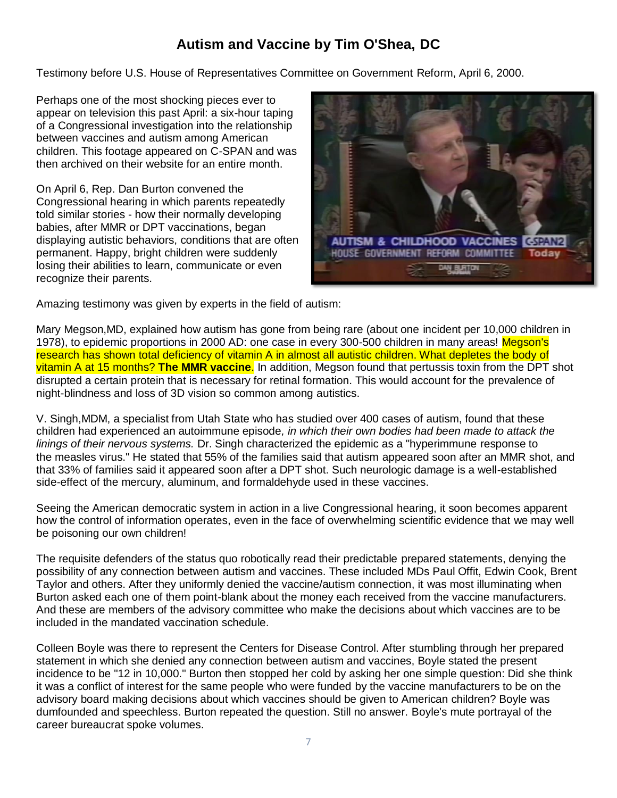## **Autism and Vaccine by Tim O'Shea, DC**

Testimony before U.S. House of Representatives Committee on Government Reform, April 6, 2000.

Perhaps one of the most shocking pieces ever to appear on television this past April: a six-hour taping of a Congressional investigation into the relationship between vaccines and autism among American children. This footage appeared on C-SPAN and was then archived on their website for an entire month.

On April 6, Rep. Dan Burton convened the Congressional hearing in which parents repeatedly told similar stories - how their normally developing babies, after MMR or DPT vaccinations, began displaying autistic behaviors, conditions that are often permanent. Happy, bright children were suddenly losing their abilities to learn, communicate or even recognize their parents.



Amazing testimony was given by experts in the field of autism:

Mary Megson,MD, explained how autism has gone from being rare (about one incident per 10,000 children in 1978), to epidemic proportions in 2000 AD: one case in every 300-500 children in many areas! Megson's research has shown total deficiency of vitamin A in almost all autistic children. What depletes the body of vitamin A at 15 months? **The MMR vaccine**. In addition, Megson found that pertussis toxin from the DPT shot disrupted a certain protein that is necessary for retinal formation. This would account for the prevalence of night-blindness and loss of 3D vision so common among autistics.

V. Singh,MDM, a specialist from Utah State who has studied over 400 cases of autism, found that these children had experienced an autoimmune episode*, in which their own bodies had been made to attack the linings of their nervous systems.* Dr. Singh characterized the epidemic as a "hyperimmune response to the measles virus." He stated that 55% of the families said that autism appeared soon after an MMR shot, and that 33% of families said it appeared soon after a DPT shot. Such neurologic damage is a well-established side-effect of the mercury, aluminum, and formaldehyde used in these vaccines.

Seeing the American democratic system in action in a live Congressional hearing, it soon becomes apparent how the control of information operates, even in the face of overwhelming scientific evidence that we may well be poisoning our own children!

The requisite defenders of the status quo robotically read their predictable prepared statements, denying the possibility of any connection between autism and vaccines. These included MDs Paul Offit, Edwin Cook, Brent Taylor and others. After they uniformly denied the vaccine/autism connection, it was most illuminating when Burton asked each one of them point-blank about the money each received from the vaccine manufacturers. And these are members of the advisory committee who make the decisions about which vaccines are to be included in the mandated vaccination schedule.

Colleen Boyle was there to represent the Centers for Disease Control. After stumbling through her prepared statement in which she denied any connection between autism and vaccines, Boyle stated the present incidence to be "12 in 10,000." Burton then stopped her cold by asking her one simple question: Did she think it was a conflict of interest for the same people who were funded by the vaccine manufacturers to be on the advisory board making decisions about which vaccines should be given to American children? Boyle was dumfounded and speechless. Burton repeated the question. Still no answer. Boyle's mute portrayal of the career bureaucrat spoke volumes.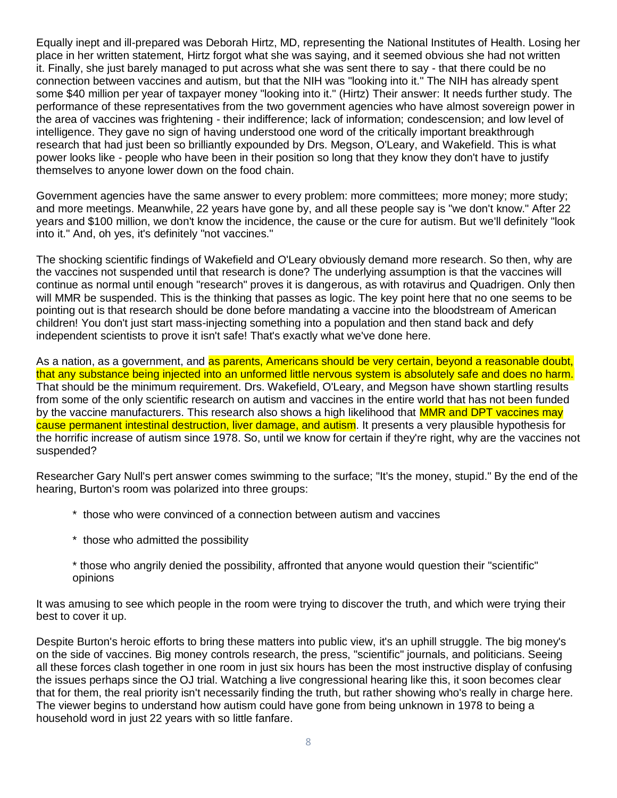Equally inept and ill-prepared was Deborah Hirtz, MD, representing the National Institutes of Health. Losing her place in her written statement, Hirtz forgot what she was saying, and it seemed obvious she had not written it. Finally, she just barely managed to put across what she was sent there to say - that there could be no connection between vaccines and autism, but that the NIH was "looking into it." The NIH has already spent some \$40 million per year of taxpayer money "looking into it." (Hirtz) Their answer: It needs further study. The performance of these representatives from the two government agencies who have almost sovereign power in the area of vaccines was frightening - their indifference; lack of information; condescension; and low level of intelligence. They gave no sign of having understood one word of the critically important breakthrough research that had just been so brilliantly expounded by Drs. Megson, O'Leary, and Wakefield. This is what power looks like - people who have been in their position so long that they know they don't have to justify themselves to anyone lower down on the food chain.

Government agencies have the same answer to every problem: more committees; more money; more study; and more meetings. Meanwhile, 22 years have gone by, and all these people say is "we don't know." After 22 years and \$100 million, we don't know the incidence, the cause or the cure for autism. But we'll definitely "look into it." And, oh yes, it's definitely "not vaccines."

The shocking scientific findings of Wakefield and O'Leary obviously demand more research. So then, why are the vaccines not suspended until that research is done? The underlying assumption is that the vaccines will continue as normal until enough "research" proves it is dangerous, as with rotavirus and Quadrigen. Only then will MMR be suspended. This is the thinking that passes as logic. The key point here that no one seems to be pointing out is that research should be done before mandating a vaccine into the bloodstream of American children! You don't just start mass-injecting something into a population and then stand back and defy independent scientists to prove it isn't safe! That's exactly what we've done here.

As a nation, as a government, and as parents, Americans should be very certain, beyond a reasonable doubt, that any substance being injected into an unformed little nervous system is absolutely safe and does no harm. That should be the minimum requirement. Drs. Wakefield, O'Leary, and Megson have shown startling results from some of the only scientific research on autism and vaccines in the entire world that has not been funded by the vaccine manufacturers. This research also shows a high likelihood that MMR and DPT vaccines may cause permanent intestinal destruction, liver damage, and autism. It presents a very plausible hypothesis for the horrific increase of autism since 1978. So, until we know for certain if they're right, why are the vaccines not suspended?

Researcher Gary Null's pert answer comes swimming to the surface; "It's the money, stupid." By the end of the hearing, Burton's room was polarized into three groups:

- \* those who were convinced of a connection between autism and vaccines
- \* those who admitted the possibility
- \* those who angrily denied the possibility, affronted that anyone would question their "scientific" opinions

It was amusing to see which people in the room were trying to discover the truth, and which were trying their best to cover it up.

Despite Burton's heroic efforts to bring these matters into public view, it's an uphill struggle. The big money's on the side of vaccines. Big money controls research, the press, "scientific" journals, and politicians. Seeing all these forces clash together in one room in just six hours has been the most instructive display of confusing the issues perhaps since the OJ trial. Watching a live congressional hearing like this, it soon becomes clear that for them, the real priority isn't necessarily finding the truth, but rather showing who's really in charge here. The viewer begins to understand how autism could have gone from being unknown in 1978 to being a household word in just 22 years with so little fanfare.